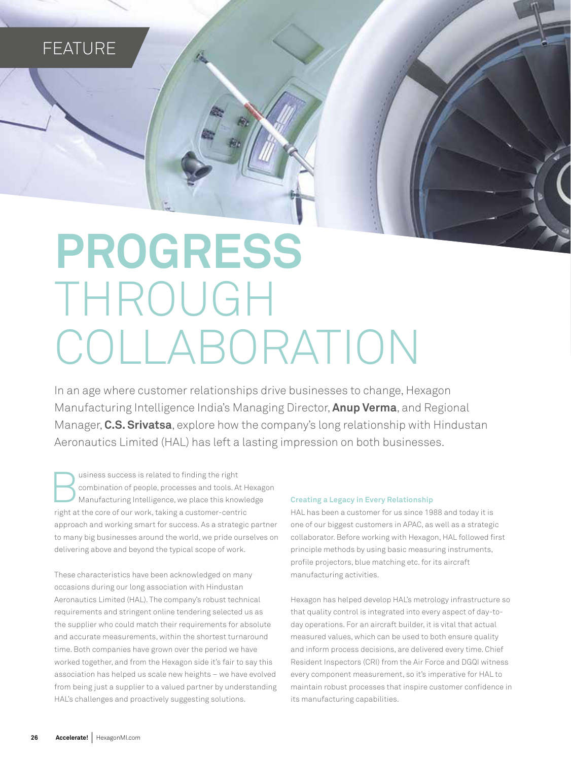# **FEATURE**

# **PROGRESS** THROUGH COLLABORATION

In an age where customer relationships drive businesses to change, Hexagon Manufacturing Intelligence India's Managing Director, **Anup Verma**, and Regional Manager, **C.S. Srivatsa**, explore how the company's long relationship with Hindustan Aeronautics Limited (HAL) has left a lasting impression on both businesses.

susiness success is related to finding the right<br>combination of people, processes and tools. At H<br>Manufacturing Intelligence, we place this knowle<br>right at the core of our work, taking a customer-centric usiness success is related to finding the right combination of people, processes and tools. At Hexagon Manufacturing Intelligence, we place this knowledge approach and working smart for success. As a strategic partner to many big businesses around the world, we pride ourselves on delivering above and beyond the typical scope of work.

These characteristics have been acknowledged on many occasions during our long association with Hindustan Aeronautics Limited (HAL). The company's robust technical requirements and stringent online tendering selected us as the supplier who could match their requirements for absolute and accurate measurements, within the shortest turnaround time. Both companies have grown over the period we have worked together, and from the Hexagon side it's fair to say this association has helped us scale new heights – we have evolved from being just a supplier to a valued partner by understanding HAL's challenges and proactively suggesting solutions.

#### **Creating a Legacy in Every Relationship**

HAL has been a customer for us since 1988 and today it is one of our biggest customers in APAC, as well as a strategic collaborator. Before working with Hexagon, HAL followed first principle methods by using basic measuring instruments, profile projectors, blue matching etc. for its aircraft manufacturing activities.

Hexagon has helped develop HAL's metrology infrastructure so that quality control is integrated into every aspect of day-today operations. For an aircraft builder, it is vital that actual measured values, which can be used to both ensure quality and inform process decisions, are delivered every time. Chief Resident Inspectors (CRI) from the Air Force and DGQI witness every component measurement, so it's imperative for HAL to maintain robust processes that inspire customer confidence in its manufacturing capabilities.